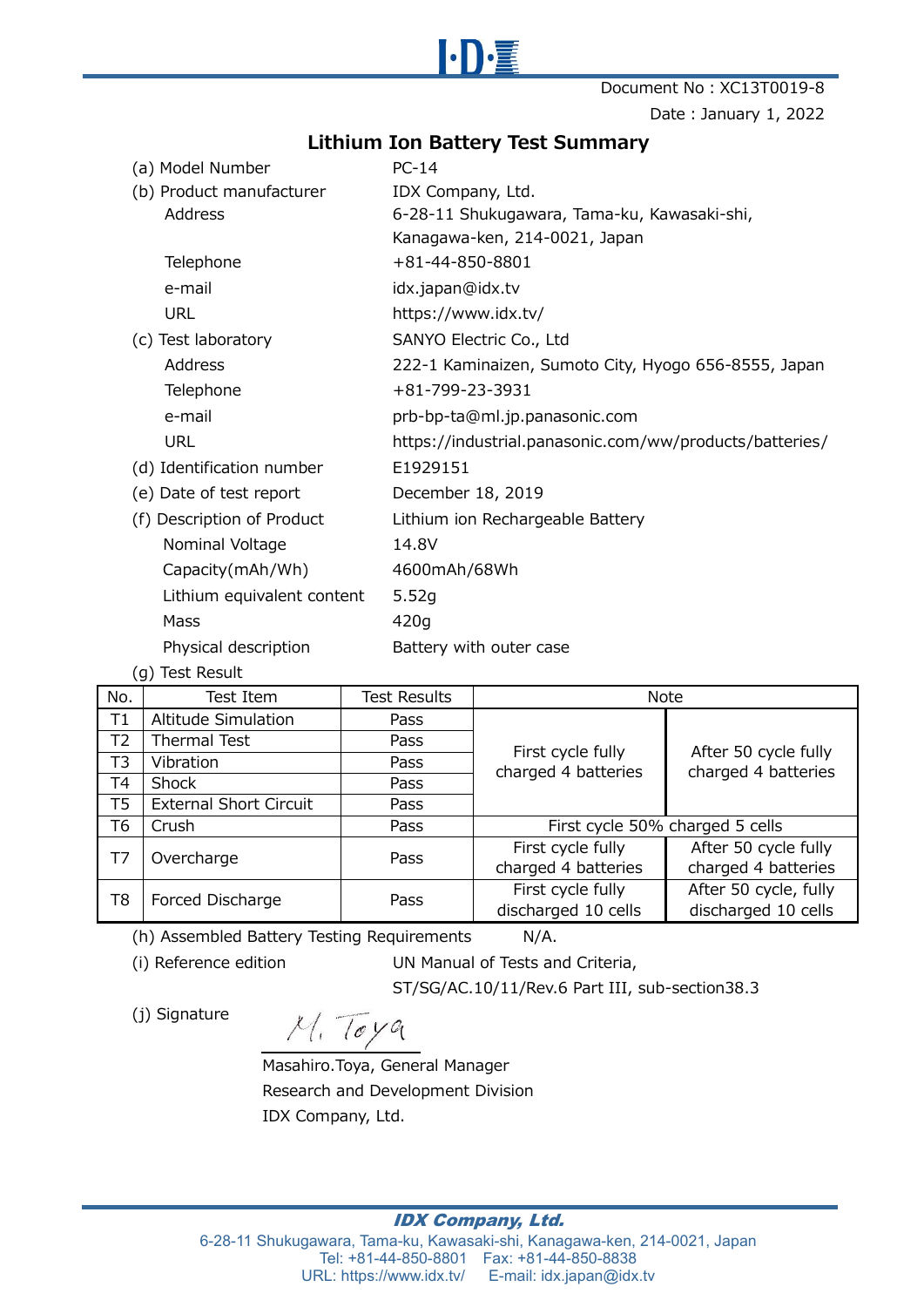

Document No: XC13T0019-8 Date: January 1, 2022

## **Lithium Ion Battery Test Summary**

| (a) Model Number           | $PC-14$                                                 |
|----------------------------|---------------------------------------------------------|
| (b) Product manufacturer   | IDX Company, Ltd.                                       |
| Address                    | 6-28-11 Shukugawara, Tama-ku, Kawasaki-shi,             |
|                            | Kanagawa-ken, 214-0021, Japan                           |
| Telephone                  | +81-44-850-8801                                         |
| e-mail                     | idx.japan@idx.tv                                        |
| <b>URL</b>                 | https://www.idx.tv/                                     |
| (c) Test laboratory        | SANYO Electric Co., Ltd                                 |
| Address                    | 222-1 Kaminaizen, Sumoto City, Hyogo 656-8555, Japan    |
| Telephone                  | $+81 - 799 - 23 - 3931$                                 |
| e-mail                     | prb-bp-ta@ml.jp.panasonic.com                           |
| <b>URL</b>                 | https://industrial.panasonic.com/ww/products/batteries/ |
| (d) Identification number  | E1929151                                                |
| (e) Date of test report    | December 18, 2019                                       |
| (f) Description of Product | Lithium ion Rechargeable Battery                        |
| Nominal Voltage            | 14.8V                                                   |
| Capacity (mAh/Wh)          | 4600mAh/68Wh                                            |
| Lithium equivalent content | 5.52g                                                   |
| Mass                       | 420g                                                    |
| Physical description       | Battery with outer case                                 |

(g) Test Result

| No.                    | Test Item                     | <b>Test Results</b> | <b>Note</b>                              |                                             |
|------------------------|-------------------------------|---------------------|------------------------------------------|---------------------------------------------|
| T1                     | Altitude Simulation           | Pass                | First cycle fully<br>charged 4 batteries |                                             |
| T <sub>2</sub>         | Thermal Test                  | Pass                |                                          |                                             |
| T3                     | Vibration                     | <b>Pass</b>         |                                          | After 50 cycle fully<br>charged 4 batteries |
| Τ4                     | Shock                         | Pass                |                                          |                                             |
| T5                     | <b>External Short Circuit</b> | Pass                |                                          |                                             |
| Т6                     | Crush                         | Pass                | First cycle 50% charged 5 cells          |                                             |
| T7<br>Overcharge       | Pass                          | First cycle fully   | After 50 cycle fully                     |                                             |
|                        |                               | charged 4 batteries | charged 4 batteries                      |                                             |
| T8<br>Forced Discharge | Pass                          | First cycle fully   | After 50 cycle, fully                    |                                             |
|                        |                               | discharged 10 cells | discharged 10 cells                      |                                             |

(h) Assembled Battery Testing Requirements N/A.

(i) Reference edition UN Manual of Tests and Criteria,

ST/SG/AC.10/11/Rev.6 Part III, sub-section38.3

(j) Signature

 $M.$  Toya

Masahiro.Toya, General Manager Research and Development Division IDX Company, Ltd.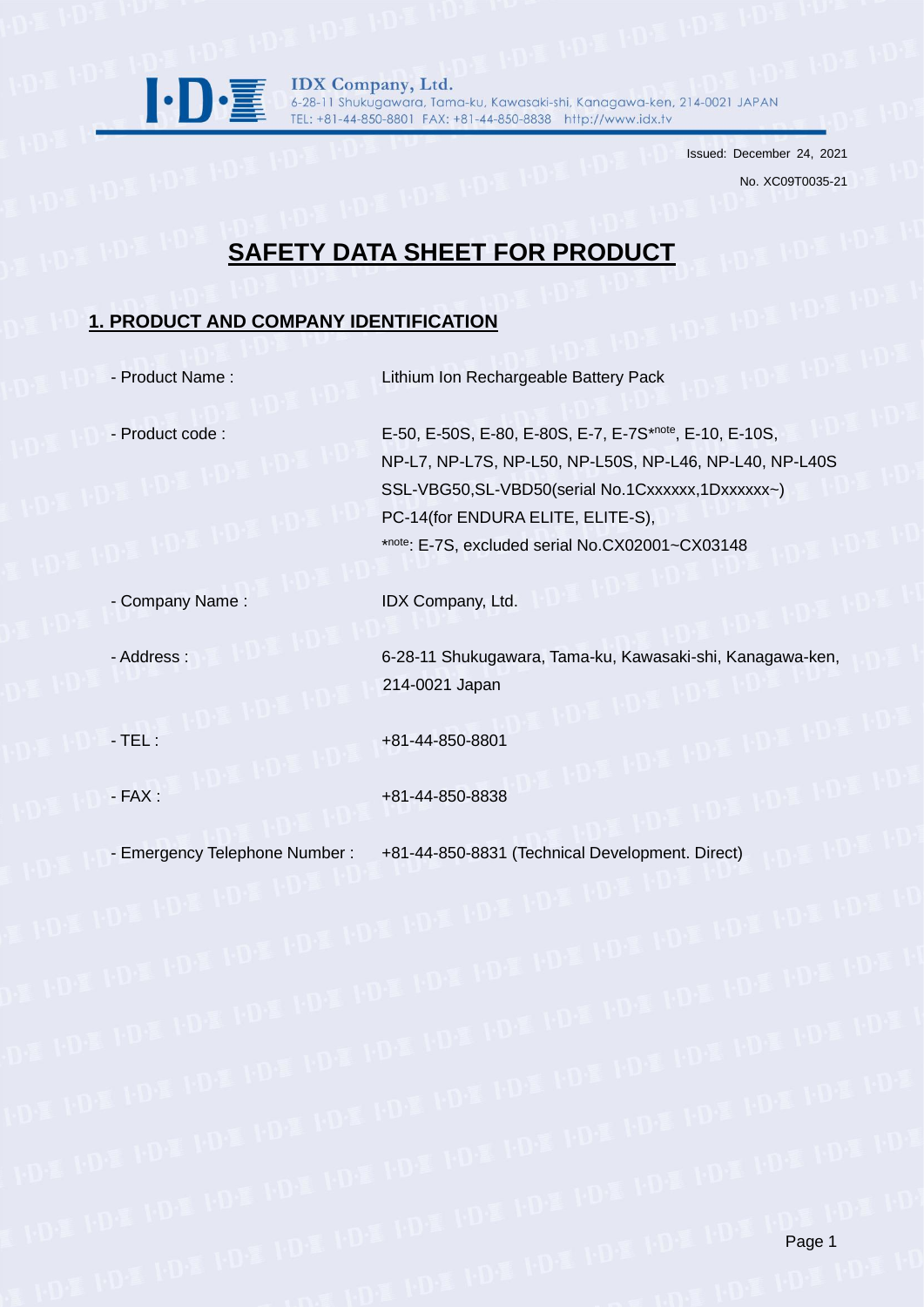

IDX Company, Ltd. 6-28-11 Shukugawara, Tama-ku, Kawasaki-shi, Kanagawa-ken, 214-0021 JAPAN TEL: +81-44-850-8801 FAX: +81-44-850-8838 http://www.idx.tv

> Issued: December 24, 2021 No. XC09T0035-21

# **SAFETY DATA SHEET FOR PRODUCT**

## **1. PRODUCT AND COMPANY IDENTIFICATION**

- Product Name : Lithium Ion Rechargeable Battery Pack

- Product code : E-50, E-50, E-50S, E-80, E-80S, E-7, E-7S\*note, E-10, E-10S, NP-L7, NP-L7S, NP-L50, NP-L50S, NP-L46, NP-L40, NP-L40S SSL-VBG50,SL-VBD50(serial No.1Cxxxxxx,1Dxxxxxx-) PC-14(for ENDURA ELITE, ELITE-S),  $\mathbb{R}$  . The set of the set of  $\mathbb{R}$ note: E-7S, excluded serial No.CX02001~CX03148

- Company Name : IDX Company, Ltd.

- Address : 6-28-11 Shukugawara, Tama-ku, Kawasaki-shi, Kanagawa-ken, 214-0021 Japan

- TEL :  $+81-44-850-8801$ 

- FAX : +81-44-850-8838

- Emergency Telephone Number : +81-44-850-8831 (Technical Development. Direct)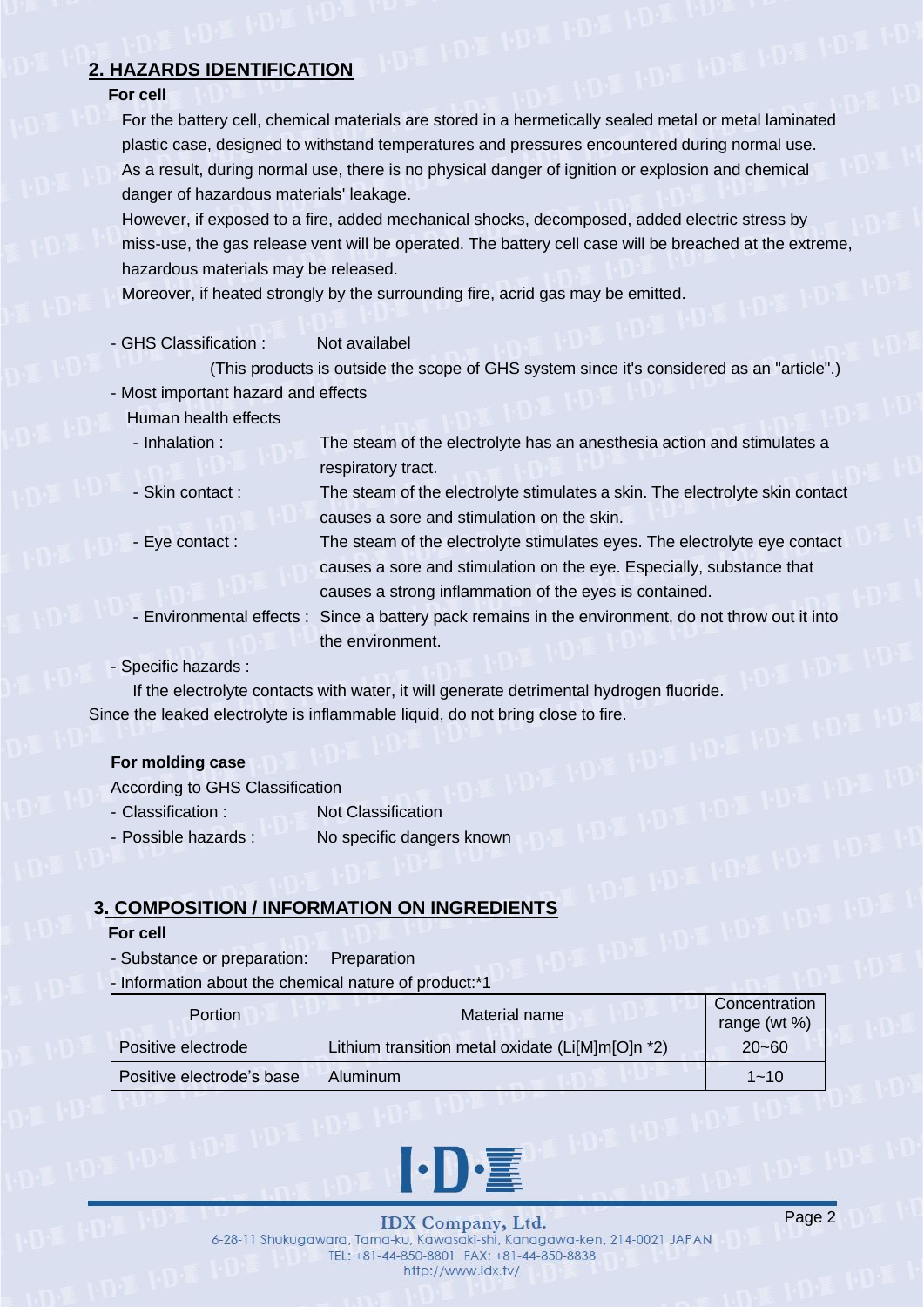## **2. HAZARDS IDENTIFICATION**

## **For cell**

For the battery cell, chemical materials are stored in a hermetically sealed metal or metal laminated plastic case, designed to withstand temperatures and pressures encountered during normal use. As a result, during normal use, there is no physical danger of ignition or explosion and chemical danger of hazardous materials' leakage.

However, if exposed to a fire, added mechanical shocks, decomposed, added electric stress by miss-use, the gas release vent will be operated. The battery cell case will be breached at the extreme, hazardous materials may be released.

Moreover, if heated strongly by the surrounding fire, acrid gas may be emitted.

- GHS Classification : Not availabel

(This products is outside the scope of GHS system since it's considered as an "article".) - Most important hazard and effects

Human health effects

- Inhalation : The steam of the electrolyte has an anesthesia action and stimulates a respiratory tract.
- Skin contact : The steam of the electrolyte stimulates a skin. The electrolyte skin contact causes a sore and stimulation on the skin.
- Eye contact : The steam of the electrolyte stimulates eyes. The electrolyte eye contact causes a sore and stimulation on the eye. Especially, substance that causes a strong inflammation of the eyes is contained.
- Environmental effects : Since a battery pack remains in the environment, do not throw out it into the environment.

- Specific hazards :

If the electrolyte contacts with water, it will generate detrimental hydrogen fluoride. Since the leaked electrolyte is inflammable liquid, do not bring close to fire.

## **For molding case**

According to GHS Classification

- Classification : Not Classification
- Possible hazards : No specific dangers known

## **3. COMPOSITION / INFORMATION ON INGREDIENTS**

### **For cell**

- Substance or preparation: Preparation
- Information about the chemical nature of product:\*1

| <b>Portion</b>            | Material name                                    | Concentration<br>range (wt $%$ ) |
|---------------------------|--------------------------------------------------|----------------------------------|
| Positive electrode        | Lithium transition metal oxidate (Li[M]m[O]n *2) | $20 - 60$                        |
| Positive electrode's base | Aluminum                                         | $1 - 10$                         |

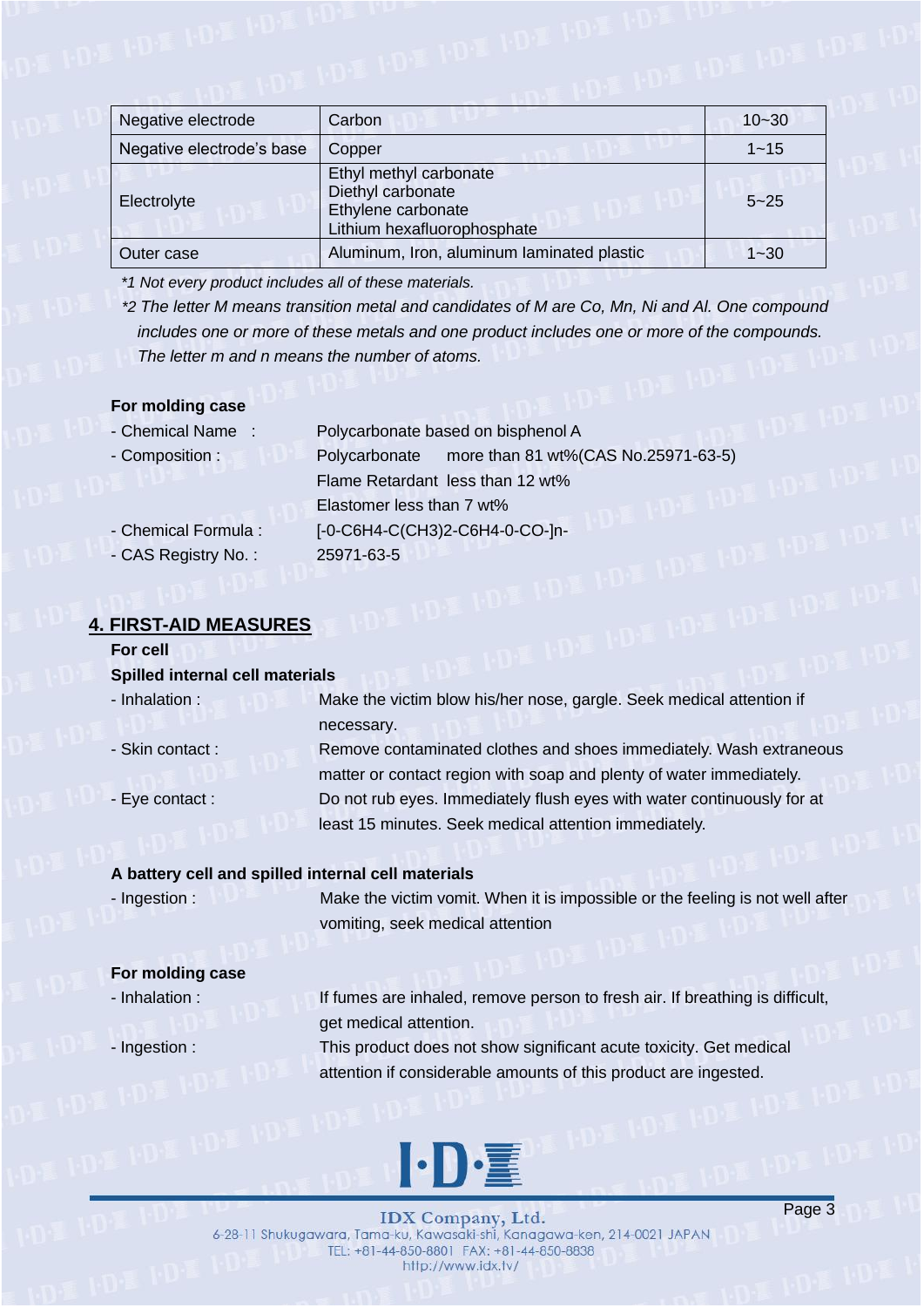| Negative electrode        | Carbon                                                                                           | $10 - 30$ |  |
|---------------------------|--------------------------------------------------------------------------------------------------|-----------|--|
| Negative electrode's base | Copper                                                                                           | $1 - 15$  |  |
| Electrolyte               | Ethyl methyl carbonate<br>Diethyl carbonate<br>Ethylene carbonate<br>Lithium hexafluorophosphate | $5 - 25$  |  |
| Outer case                | Aluminum, Iron, aluminum laminated plastic                                                       | $1 - 30$  |  |

*\*1 Not every product includes all of these materials.*

*\*2 The letter M means transition metal and candidates of M are Co, Mn, Ni and Al. One compound includes one or more of these metals and one product includes one or more of the compounds. The letter m and n means the number of atoms.*

### **For molding case**

| - Chemical Name:     | Polycarbonate based on bisphenol A                   |  |
|----------------------|------------------------------------------------------|--|
| - Composition:       | more than 81 wt%(CAS No.25971-63-5)<br>Polycarbonate |  |
|                      | Flame Retardant less than 12 wt%                     |  |
|                      | Elastomer less than 7 wt%                            |  |
| - Chemical Formula : | [-0-C6H4-C(CH3)2-C6H4-0-CO-]n-                       |  |
| - CAS Registry No.:  | 25971-63-5                                           |  |

## **4. FIRST-AID MEASURES**

### **For cell**

#### **Spilled internal cell materials**

- Inhalation : Make the victim blow his/her nose, gargle. Seek medical attention if necessary. - Skin contact : Remove contaminated clothes and shoes immediately. Wash extraneous

matter or contact region with soap and plenty of water immediately. - Eye contact : Do not rub eyes. Immediately flush eyes with water continuously for at least 15 minutes. Seek medical attention immediately.

### **A battery cell and spilled internal cell materials**

- Ingestion : Make the victim vomit. When it is impossible or the feeling is not well after vomiting, seek medical attention

### **For molding case**

- Inhalation : If fumes are inhaled, remove person to fresh air. If breathing is difficult, get medical attention.

- Ingestion : This product does not show significant acute toxicity. Get medical attention if considerable amounts of this product are ingested.



**IDX** Company, Ltd. 6-28-11 Shukugawara, Tama-ku, Kawasaki-shi, Kanagawa-ken, 214-0021 JAPAN TEL: +81-44-850-8801 FAX: +81-44-850-8838 http://www.idx.tv/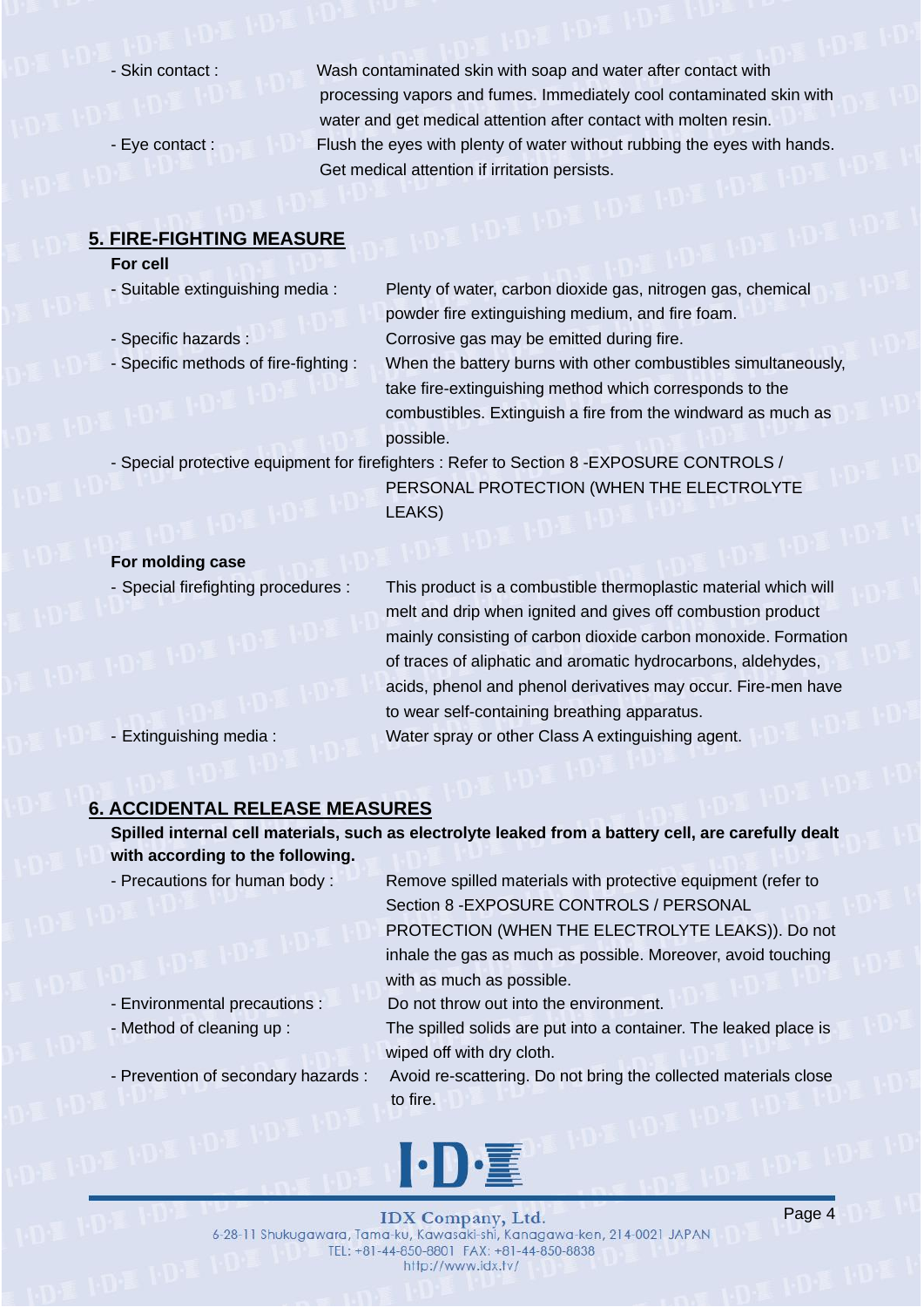- 
- 

- Skin contact : Wash contaminated skin with soap and water after contact with processing vapors and fumes. Immediately cool contaminated skin with water and get medical attention after contact with molten resin. - Eye contact : Flush the eyes with plenty of water without rubbing the eyes with hands. Get medical attention if irritation persists.

### **5. FIRE-FIGHTING MEASURE**

### **For cell**

- 
- 
- Specific methods of fire-fighting : When the battery burns with other combustibles simultaneously,

- Suitable extinguishing media : Plenty of water, carbon dioxide gas, nitrogen gas, chemical powder fire extinguishing medium, and fire foam. - Specific hazards : Corrosive gas may be emitted during fire.

> take fire-extinguishing method which corresponds to the combustibles. Extinguish a fire from the windward as much as possible.

- Special protective equipment for firefighters : Refer to Section 8 -EXPOSURE CONTROLS /

PERSONAL PROTECTION (WHEN THE ELECTROLYTE LEAKS)

### **For molding case**

- Special firefighting procedures : This product is a combustible thermoplastic material which will melt and drip when ignited and gives off combustion product mainly consisting of carbon dioxide carbon monoxide. Formation of traces of aliphatic and aromatic hydrocarbons, aldehydes, acids, phenol and phenol derivatives may occur. Fire-men have to wear self-containing breathing apparatus. - Extinguishing media : Water spray or other Class A extinguishing agent.

## **6. ACCIDENTAL RELEASE MEASURES**

**Spilled internal cell materials, such as electrolyte leaked from a battery cell, are carefully dealt with according to the following.**

- Precautions for human body : Remove spilled materials with protective equipment (refer to Section 8 -EXPOSURE CONTROLS / PERSONAL PROTECTION (WHEN THE ELECTROLYTE LEAKS)). Do not

> inhale the gas as much as possible. Moreover, avoid touching with as much as possible.

- Environmental precautions : Do not throw out into the environment.

- Method of cleaning up : The spilled solids are put into a container. The leaked place is wiped off with dry cloth.

- Prevention of secondary hazards : Avoid re-scattering. Do not bring the collected materials close to fire.

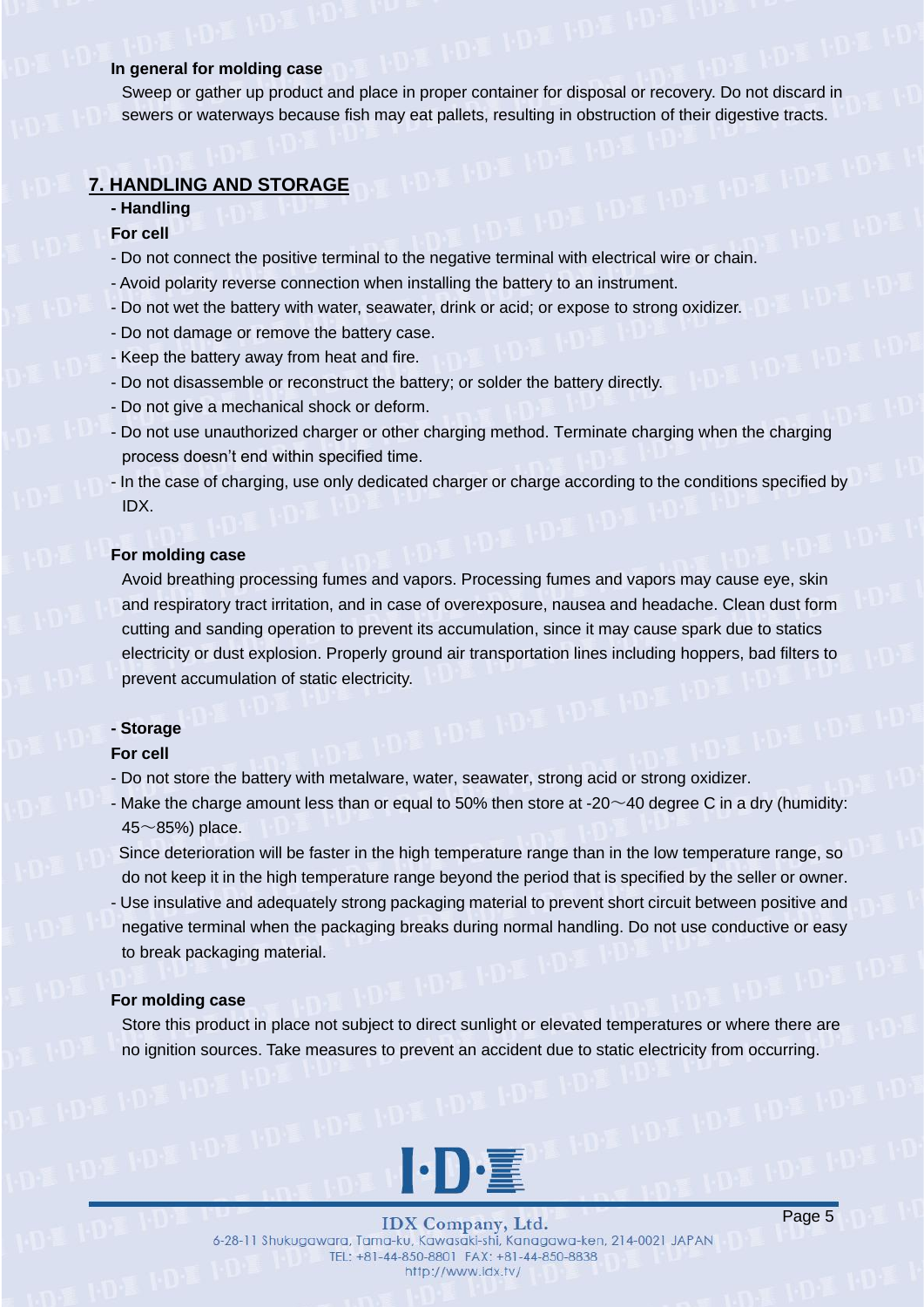### **In general for molding case**

Sweep or gather up product and place in proper container for disposal or recovery. Do not discard in sewers or waterways because fish may eat pallets, resulting in obstruction of their digestive tracts.

## **7. HANDLING AND STORAGE**

### **- Handling**

### **For cell**

- Do not connect the positive terminal to the negative terminal with electrical wire or chain.
- Avoid polarity reverse connection when installing the battery to an instrument.
- Do not wet the battery with water, seawater, drink or acid; or expose to strong oxidizer.
- Do not damage or remove the battery case.
- Keep the battery away from heat and fire.
- Do not disassemble or reconstruct the battery; or solder the battery directly.
- Do not give a mechanical shock or deform.
- Do not use unauthorized charger or other charging method. Terminate charging when the charging process doesn't end within specified time.
- In the case of charging, use only dedicated charger or charge according to the conditions specified by IDX.

## **For molding case**

Avoid breathing processing fumes and vapors. Processing fumes and vapors may cause eye, skin and respiratory tract irritation, and in case of overexposure, nausea and headache. Clean dust form cutting and sanding operation to prevent its accumulation, since it may cause spark due to statics electricity or dust explosion. Properly ground air transportation lines including hoppers, bad filters to prevent accumulation of static electricity.

#### **- Storage**

#### **For cell**

- Do not store the battery with metalware, water, seawater, strong acid or strong oxidizer.
- Make the charge amount less than or equal to 50% then store at -20 $\sim$ 40 degree C in a dry (humidity:  $45~\sim$ 85%) place.

Since deterioration will be faster in the high temperature range than in the low temperature range, so do not keep it in the high temperature range beyond the period that is specified by the seller or owner. - Use insulative and adequately strong packaging material to prevent short circuit between positive and negative terminal when the packaging breaks during normal handling. Do not use conductive or easy to break packaging material.

#### **For molding case**

Store this product in place not subject to direct sunlight or elevated temperatures or where there are no ignition sources. Take measures to prevent an accident due to static electricity from occurring.



**IDX** Company, Ltd. 6-28-11 Shukugawara, Tama-ku, Kawasaki-shi, Kanagawa-ken, 214-0021 JAPAN TEL: +81-44-850-8801 FAX: +81-44-850-8838 http://www.idx.tv/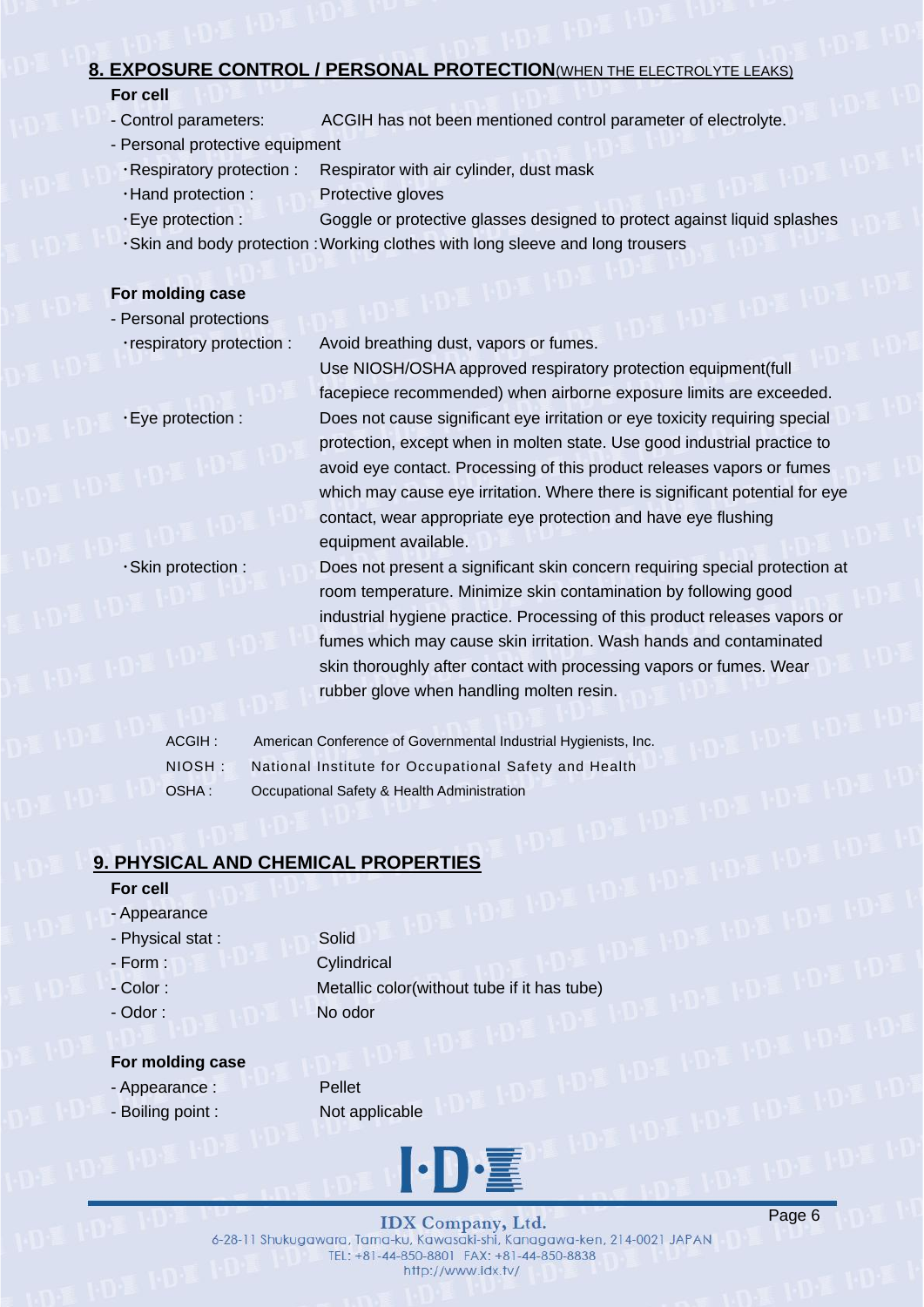## **8. EXPOSURE CONTROL / PERSONAL PROTECTION**(WHEN THE ELECTROLYTE LEAKS)

## **For cell**

- Control parameters: ACGIH has not been mentioned control parameter of electrolyte.
- Personal protective equipment
	- ・Respiratory protection : Respirator with air cylinder, dust mask
	- ・Hand protection : Protective gloves
	-
	- ・Eye protection : Goggle or protective glasses designed to protect against liquid splashes
	- ・Skin and body protection :Working clothes with long sleeve and long trousers

## **For molding case**

## - Personal protections

・respiratory protection : Avoid breathing dust, vapors or fumes.

Use NIOSH/OSHA approved respiratory protection equipment(full facepiece recommended) when airborne exposure limits are exceeded. ・Eye protection : Does not cause significant eye irritation or eye toxicity requiring special protection, except when in molten state. Use good industrial practice to avoid eye contact. Processing of this product releases vapors or fumes which may cause eye irritation. Where there is significant potential for eye contact, wear appropriate eye protection and have eye flushing equipment available.

- ・Skin protection : Does not present a significant skin concern requiring special protection at room temperature. Minimize skin contamination by following good industrial hygiene practice. Processing of this product releases vapors or fumes which may cause skin irritation. Wash hands and contaminated skin thoroughly after contact with processing vapors or fumes. Wear rubber glove when handling molten resin.
	- ACGIH : American Conference of Governmental Industrial Hygienists, Inc. NIOSH : National Institute for Occupational Safety and Health OSHA : Occupational Safety & Health Administration

## **9. PHYSICAL AND CHEMICAL PROPERTIES**

## **For cell**

- Appearance
- Physical stat : Solid
- 
- 
- 

- Form : Cylindrical - Color : Metallic color(without tube if it has tube) - Odor : No odor

## **For molding case**

- Appearance : Pellet
- Boiling point : Not applicable



**IDX** Company, Ltd. 6-28-11 Shukugawara, Tama-ku, Kawasaki-shi, Kanagawa-ken, 214-0021 JAPAN TEL: +81-44-850-8801 FAX: +81-44-850-8838 http://www.idx.tv/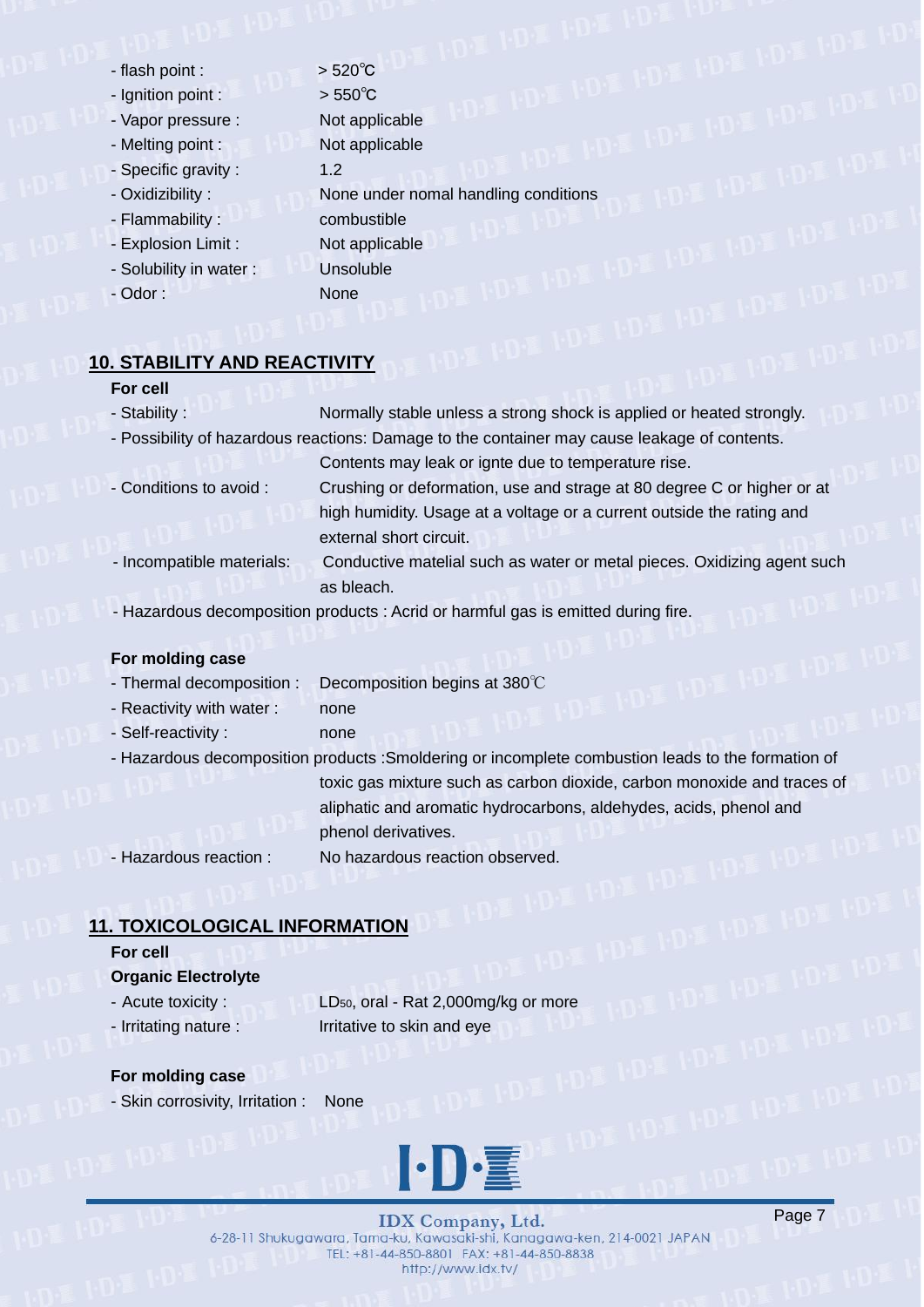- $-$  flash point :  $>$  520 $^{\circ}$ C
- Ignition point : > 550℃
- Vapor pressure : Not applicable
- 
- Specific gravity : 1.2
- 
- Flammability : combustible
- Explosion Limit : Not applicable
- Solubility in water : Unsoluble
- Odor : None
- Melting point : Not applicable - Oxidizibility : None under nomal handling conditions

## **10. STABILITY AND REACTIVITY**

### **For cell**

- Stability : Normally stable unless a strong shock is applied or heated strongly. - Possibility of hazardous reactions: Damage to the container may cause leakage of contents. Contents may leak or ignte due to temperature rise. - Conditions to avoid : Crushing or deformation, use and strage at 80 degree C or higher or at
- high humidity. Usage at a voltage or a current outside the rating and external short circuit.
- Incompatible materials: Conductive matelial such as water or metal pieces. Oxidizing agent such as bleach.
- Hazardous decomposition products : Acrid or harmful gas is emitted during fire.

## **For molding case**

- Thermal decomposition : Decomposition begins at 380℃
- Reactivity with water : none
- Self-reactivity : none
- Hazardous decomposition products :Smoldering or incomplete combustion leads to the formation of toxic gas mixture such as carbon dioxide, carbon monoxide and traces of aliphatic and aromatic hydrocarbons, aldehydes, acids, phenol and phenol derivatives.

- Hazardous reaction : No hazardous reaction observed.

## **11. TOXICOLOGICAL INFORMATION**

## **For cell**

### **Organic Electrolyte**

- 
- Acute toxicity : LD<sub>50</sub>, oral Rat 2,000mg/kg or more - Irritating nature : Irritative to skin and eye

### **For molding case**

- Skin corrosivity, Irritation : None



**IDX** Company, Ltd. 6-28-11 Shukugawara, Tama-ku, Kawasaki-shi, Kanagawa-ken, 214-0021 JAPAN TEL: +81-44-850-8801 FAX: +81-44-850-8838 http://www.idx.tv/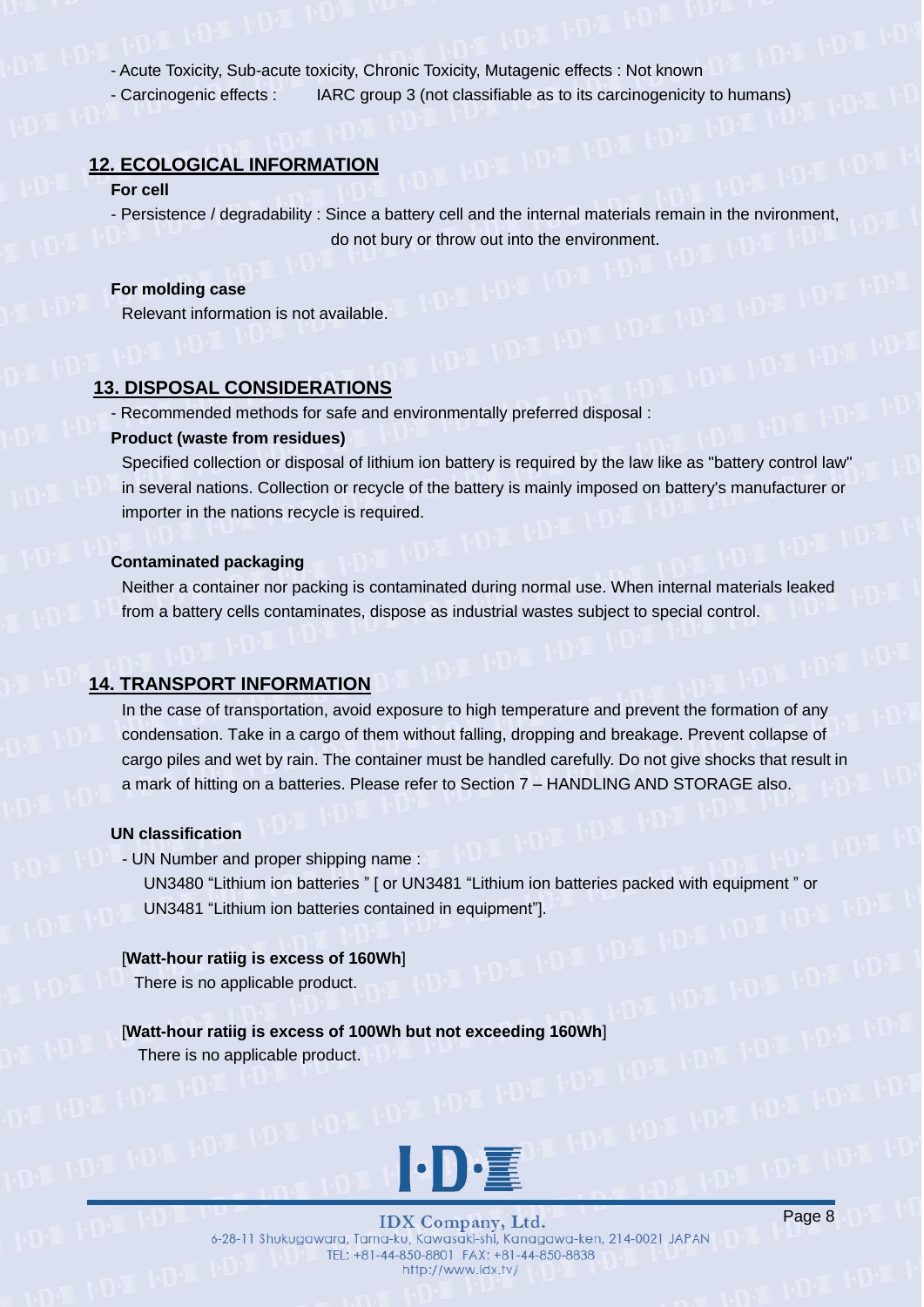- Acute Toxicity, Sub-acute toxicity, Chronic Toxicity, Mutagenic effects : Not known

- Carcinogenic effects : IARC group 3 (not classifiable as to its carcinogenicity to humans)

### **12. ECOLOGICAL INFORMATION**

#### **For cell**

- Persistence / degradability : Since a battery cell and the internal materials remain in the nvironment, do not bury or throw out into the environment.

### **For molding case**

Relevant information is not available.

## **13. DISPOSAL CONSIDERATIONS**

- Recommended methods for safe and environmentally preferred disposal :

### **Product (waste from residues)**

Specified collection or disposal of lithium ion battery is required by the law like as "battery control law" in several nations. Collection or recycle of the battery is mainly imposed on battery's manufacturer or importer in the nations recycle is required.

### **Contaminated packaging**

Neither a container nor packing is contaminated during normal use. When internal materials leaked from a battery cells contaminates, dispose as industrial wastes subject to special control.

## **14. TRANSPORT INFORMATION**

In the case of transportation, avoid exposure to high temperature and prevent the formation of any condensation. Take in a cargo of them without falling, dropping and breakage. Prevent collapse of cargo piles and wet by rain. The container must be handled carefully. Do not give shocks that result in a mark of hitting on a batteries. Please refer to Section 7 – HANDLING AND STORAGE also.

### **UN classification**

- UN Number and proper shipping name :

UN3480 "Lithium ion batteries " [ or UN3481 "Lithium ion batteries packed with equipment " or UN3481 "Lithium ion batteries contained in equipment"].

### [**Watt-hour ratiig is excess of 160Wh**]

There is no applicable product.

## [**Watt-hour ratiig is excess of 100Wh but not exceeding 160Wh**]

There is no applicable product.



**IDX** Company, Ltd. 6-28-11 Shukugawara, Tama-ku, Kawasaki-shi, Kanagawa-ken, 214-0021 JAPAN TEL: +81-44-850-8801 FAX: +81-44-850-8838 http://www.idx.tv/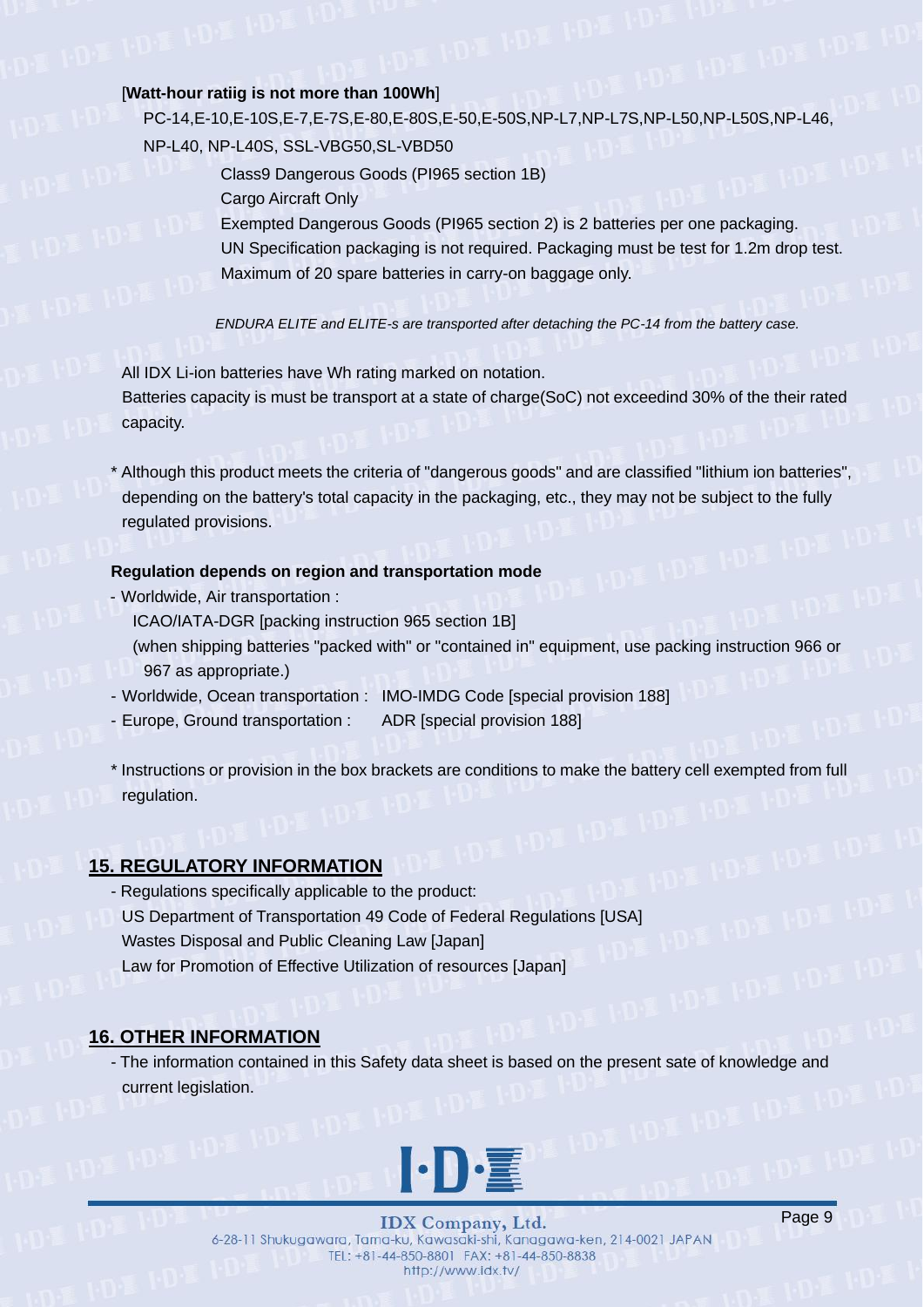### [**Watt-hour ratiig is not more than 100Wh**]

PC-14,E-10,E-10S,E-7,E-7S,E-80,E-80S,E-50,E-50S,NP-L7,NP-L7S,NP-L50,NP-L50S,NP-L46, NP-L40, NP-L40S, SSL-VBG50,SL-VBD50

> Class9 Dangerous Goods (PI965 section 1B) Cargo Aircraft Only

Exempted Dangerous Goods (PI965 section 2) is 2 batteries per one packaging. UN Specification packaging is not required. Packaging must be test for 1.2m drop test. Maximum of 20 spare batteries in carry-on baggage only.

*ENDURA ELITE and ELITE-s are transported after detaching the PC-14 from the battery case.*

All IDX Li-ion batteries have Wh rating marked on notation. Batteries capacity is must be transport at a state of charge(SoC) not exceedind 30% of the their rated capacity.

\* Although this product meets the criteria of "dangerous goods" and are classified "lithium ion batteries", depending on the battery's total capacity in the packaging, etc., they may not be subject to the fully regulated provisions.

#### **Regulation depends on region and transportation mode**

- Worldwide, Air transportation :

ICAO/IATA-DGR [packing instruction 965 section 1B]

- (when shipping batteries "packed with" or "contained in" equipment, use packing instruction 966 or 967 as appropriate.)
- Worldwide, Ocean transportation : IMO-IMDG Code [special provision 188]
- Europe, Ground transportation : ADR [special provision 188]
- \* Instructions or provision in the box brackets are conditions to make the battery cell exempted from full regulation.

## **15. REGULATORY INFORMATION**

- Regulations specifically applicable to the product: US Department of Transportation 49 Code of Federal Regulations [USA] Wastes Disposal and Public Cleaning Law [Japan] Law for Promotion of Effective Utilization of resources [Japan]

## **16. OTHER INFORMATION**

- The information contained in this Safety data sheet is based on the present sate of knowledge and current legislation.